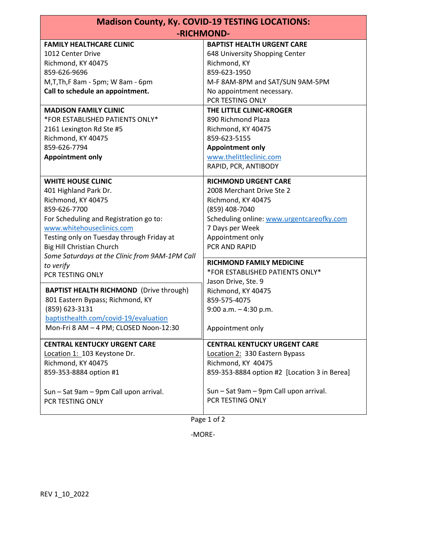| <b>Madison County, Ky. COVID-19 TESTING LOCATIONS:</b> |                                                                     |
|--------------------------------------------------------|---------------------------------------------------------------------|
| -RICHMOND-                                             |                                                                     |
| <b>FAMILY HEALTHCARE CLINIC</b><br>1012 Center Drive   | <b>BAPTIST HEALTH URGENT CARE</b><br>648 University Shopping Center |
| Richmond, KY 40475                                     | Richmond, KY                                                        |
| 859-626-9696                                           | 859-623-1950                                                        |
| M, T, Th, F 8am - 5pm; W 8am - 6pm                     | M-F 8AM-8PM and SAT/SUN 9AM-5PM                                     |
| Call to schedule an appointment.                       | No appointment necessary.                                           |
|                                                        | PCR TESTING ONLY                                                    |
| <b>MADISON FAMILY CLINIC</b>                           | THE LITTLE CLINIC-KROGER                                            |
| *FOR ESTABLISHED PATIENTS ONLY*                        | 890 Richmond Plaza                                                  |
| 2161 Lexington Rd Ste #5                               | Richmond, KY 40475                                                  |
| Richmond, KY 40475                                     | 859-623-5155                                                        |
| 859-626-7794                                           | <b>Appointment only</b>                                             |
| <b>Appointment only</b>                                | www.thelittleclinic.com                                             |
|                                                        | RAPID, PCR, ANTIBODY                                                |
| <b>WHITE HOUSE CLINIC</b>                              | <b>RICHMOND URGENT CARE</b>                                         |
| 401 Highland Park Dr.                                  | 2008 Merchant Drive Ste 2                                           |
| Richmond, KY 40475                                     | Richmond, KY 40475                                                  |
| 859-626-7700                                           | (859) 408-7040                                                      |
| For Scheduling and Registration go to:                 | Scheduling online: www.urgentcareofky.com                           |
| www.whitehouseclinics.com                              | 7 Days per Week                                                     |
| Testing only on Tuesday through Friday at              | Appointment only                                                    |
| Big Hill Christian Church                              | PCR AND RAPID                                                       |
| Some Saturdays at the Clinic from 9AM-1PM Call         | <b>RICHMOND FAMILY MEDICINE</b>                                     |
| to verify                                              | *FOR ESTABLISHED PATIENTS ONLY*                                     |
| PCR TESTING ONLY                                       | Jason Drive, Ste. 9                                                 |
| <b>BAPTIST HEALTH RICHMOND</b> (Drive through)         | Richmond, KY 40475                                                  |
| 801 Eastern Bypass; Richmond, KY                       | 859-575-4075                                                        |
| (859) 623-3131                                         | $9:00$ a.m. $-4:30$ p.m.                                            |
| baptisthealth.com/covid-19/evaluation                  |                                                                     |
| Mon-Fri 8 AM - 4 PM; CLOSED Noon-12:30                 | Appointment only                                                    |
| <b>CENTRAL KENTUCKY URGENT CARE</b>                    | <b>CENTRAL KENTUCKY URGENT CARE</b>                                 |
| Location 1: 103 Keystone Dr.                           | Location 2: 330 Eastern Bypass                                      |
| Richmond, KY 40475                                     | Richmond, KY 40475                                                  |
| 859-353-8884 option #1                                 | 859-353-8884 option #2 [Location 3 in Berea]                        |
| Sun - Sat 9am - 9pm Call upon arrival.                 | Sun - Sat 9am - 9pm Call upon arrival.                              |
| PCR TESTING ONLY                                       | PCR TESTING ONLY                                                    |
|                                                        |                                                                     |

Page 1 of 2

-MORE-